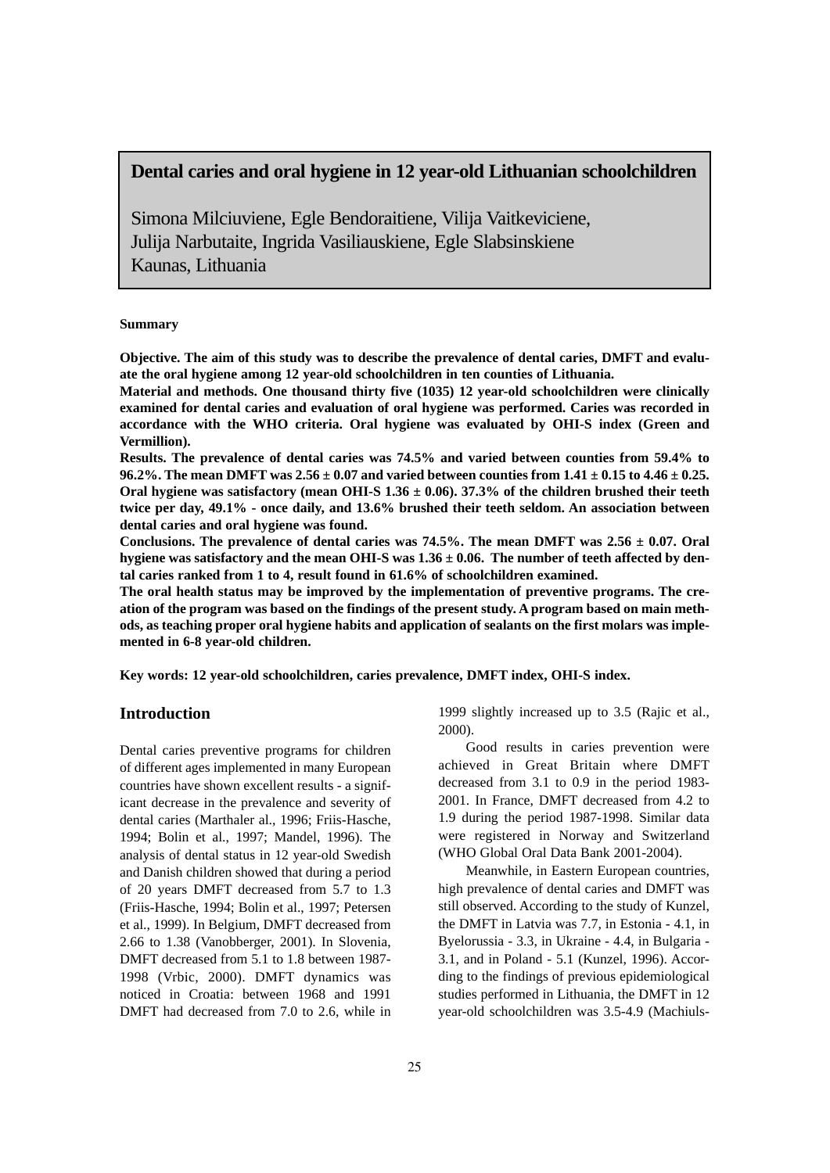# **Dental caries and oral hygiene in 12 year-old Lithuanian schoolchildren**

Simona Milciuviene, Egle Bendoraitiene, Vilija Vaitkeviciene, Julija Narbutaite, Ingrida Vasiliauskiene, Egle Slabsinskiene Kaunas, Lithuania

### **Summary**

**Objective. The aim of this study was to describe the prevalence of dental caries, DMFT and evaluate the oral hygiene among 12 year-old schoolchildren in ten counties of Lithuania.**

**Material and methods. One thousand thirty five (1035) 12 year-old schoolchildren were clinically examined for dental caries and evaluation of oral hygiene was performed. Caries was recorded in accordance with the WHO criteria. Oral hygiene was evaluated by OHI-S index (Green and Vermillion).**

**Results. The prevalence of dental caries was 74.5% and varied between counties from 59.4% to 96.2%. The mean DMFT was 2.56 ± 0.07 and varied between counties from 1.41 ± 0.15 to 4.46 ± 0.25. Oral hygiene was satisfactory (mean OHI-S 1.36 ± 0.06). 37.3% of the children brushed their teeth twice per day, 49.1% - once daily, and 13.6% brushed their teeth seldom. An association between dental caries and oral hygiene was found.** 

Conclusions. The prevalence of dental caries was  $74.5\%$ . The mean DMFT was  $2.56 \pm 0.07$ . Oral **hygiene was satisfactory and the mean OHI-S was 1.36 ± 0.06. The number of teeth affected by dental caries ranked from 1 to 4, result found in 61.6% of schoolchildren examined.**

**The oral health status may be improved by the implementation of preventive programs. The creation of the program was based on the findings of the present study. A program based on main methods, as teaching proper oral hygiene habits and application of sealants on the first molars was implemented in 6-8 year-old children.** 

**Key words: 12 year-old schoolchildren, caries prevalence, DMFT index, OHI-S index.**

## **Introduction**

Dental caries preventive programs for children of different ages implemented in many European countries have shown excellent results - a significant decrease in the prevalence and severity of dental caries (Marthaler al., 1996; Friis-Hasche, 1994; Bolin et al., 1997; Mandel, 1996). The analysis of dental status in 12 year-old Swedish and Danish children showed that during a period of 20 years DMFT decreased from 5.7 to 1.3 (Friis-Hasche, 1994; Bolin et al., 1997; Petersen et al., 1999). In Belgium, DMFT decreased from 2.66 to 1.38 (Vanobberger, 2001). In Slovenia, DMFT decreased from 5.1 to 1.8 between 1987- 1998 (Vrbic, 2000). DMFT dynamics was noticed in Croatia: between 1968 and 1991 DMFT had decreased from 7.0 to 2.6, while in

1999 slightly increased up to 3.5 (Rajic et al., 2000).

Good results in caries prevention were achieved in Great Britain where DMFT decreased from 3.1 to 0.9 in the period 1983- 2001. In France, DMFT decreased from 4.2 to 1.9 during the period 1987-1998. Similar data were registered in Norway and Switzerland (WHO Global Oral Data Bank 2001-2004).

Meanwhile, in Eastern European countries, high prevalence of dental caries and DMFT was still observed. According to the study of Kunzel, the DMFT in Latvia was 7.7, in Estonia - 4.1, in Byelorussia - 3.3, in Ukraine - 4.4, in Bulgaria - 3.1, and in Poland - 5.1 (Kunzel, 1996). According to the findings of previous epidemiological studies performed in Lithuania, the DMFT in 12 year-old schoolchildren was 3.5-4.9 (Machiuls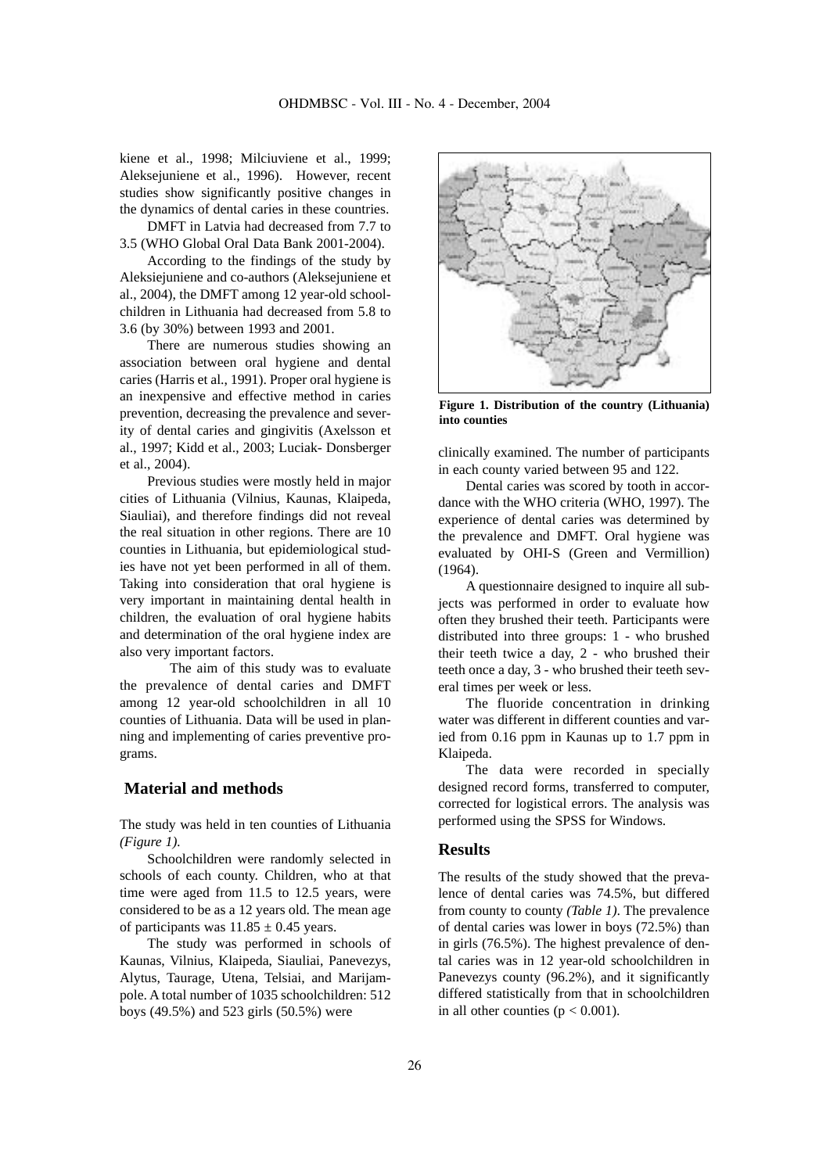kiene et al., 1998; Milciuviene et al., 1999; Aleksejuniene et al., 1996). However, recent studies show significantly positive changes in the dynamics of dental caries in these countries.

DMFT in Latvia had decreased from 7.7 to 3.5 (WHO Global Oral Data Bank 2001-2004).

According to the findings of the study by Aleksiejuniene and co-authors (Aleksejuniene et al., 2004), the DMFT among 12 year-old schoolchildren in Lithuania had decreased from 5.8 to 3.6 (by 30%) between 1993 and 2001.

There are numerous studies showing an association between oral hygiene and dental caries (Harris et al., 1991). Proper oral hygiene is an inexpensive and effective method in caries prevention, decreasing the prevalence and severity of dental caries and gingivitis (Axelsson et al., 1997; Kidd et al., 2003; Luciak- Donsberger et al., 2004).

Previous studies were mostly held in major cities of Lithuania (Vilnius, Kaunas, Klaipeda, Siauliai), and therefore findings did not reveal the real situation in other regions. There are 10 counties in Lithuania, but epidemiological studies have not yet been performed in all of them. Taking into consideration that oral hygiene is very important in maintaining dental health in children, the evaluation of oral hygiene habits and determination of the oral hygiene index are also very important factors.

The aim of this study was to evaluate the prevalence of dental caries and DMFT among 12 year-old schoolchildren in all 10 counties of Lithuania. Data will be used in planning and implementing of caries preventive programs.

## **Material and methods**

The study was held in ten counties of Lithuania *(Figure 1).*

Schoolchildren were randomly selected in schools of each county. Children, who at that time were aged from 11.5 to 12.5 years, were considered to be as a 12 years old. The mean age of participants was  $11.85 \pm 0.45$  years.

The study was performed in schools of Kaunas, Vilnius, Klaipeda, Siauliai, Panevezys, Alytus, Taurage, Utena, Telsiai, and Marijampole. A total number of 1035 schoolchildren: 512 boys (49.5%) and 523 girls (50.5%) were



**Figure 1. Distribution of the country (Lithuania) into counties**

clinically examined. The number of participants in each county varied between 95 and 122.

Dental caries was scored by tooth in accordance with the WHO criteria (WHO, 1997). The experience of dental caries was determined by the prevalence and DMFT. Oral hygiene was evaluated by OHI-S (Green and Vermillion) (1964).

A questionnaire designed to inquire all subjects was performed in order to evaluate how often they brushed their teeth. Participants were distributed into three groups: 1 - who brushed their teeth twice a day, 2 - who brushed their teeth once a day, 3 - who brushed their teeth several times per week or less.

The fluoride concentration in drinking water was different in different counties and varied from 0.16 ppm in Kaunas up to 1.7 ppm in Klaipeda.

The data were recorded in specially designed record forms, transferred to computer, corrected for logistical errors. The analysis was performed using the SPSS for Windows.

### **Results**

The results of the study showed that the prevalence of dental caries was 74.5%, but differed from county to county *(Table 1)*. The prevalence of dental caries was lower in boys (72.5%) than in girls (76.5%). The highest prevalence of dental caries was in 12 year-old schoolchildren in Panevezys county (96.2%), and it significantly differed statistically from that in schoolchildren in all other counties  $(p < 0.001)$ .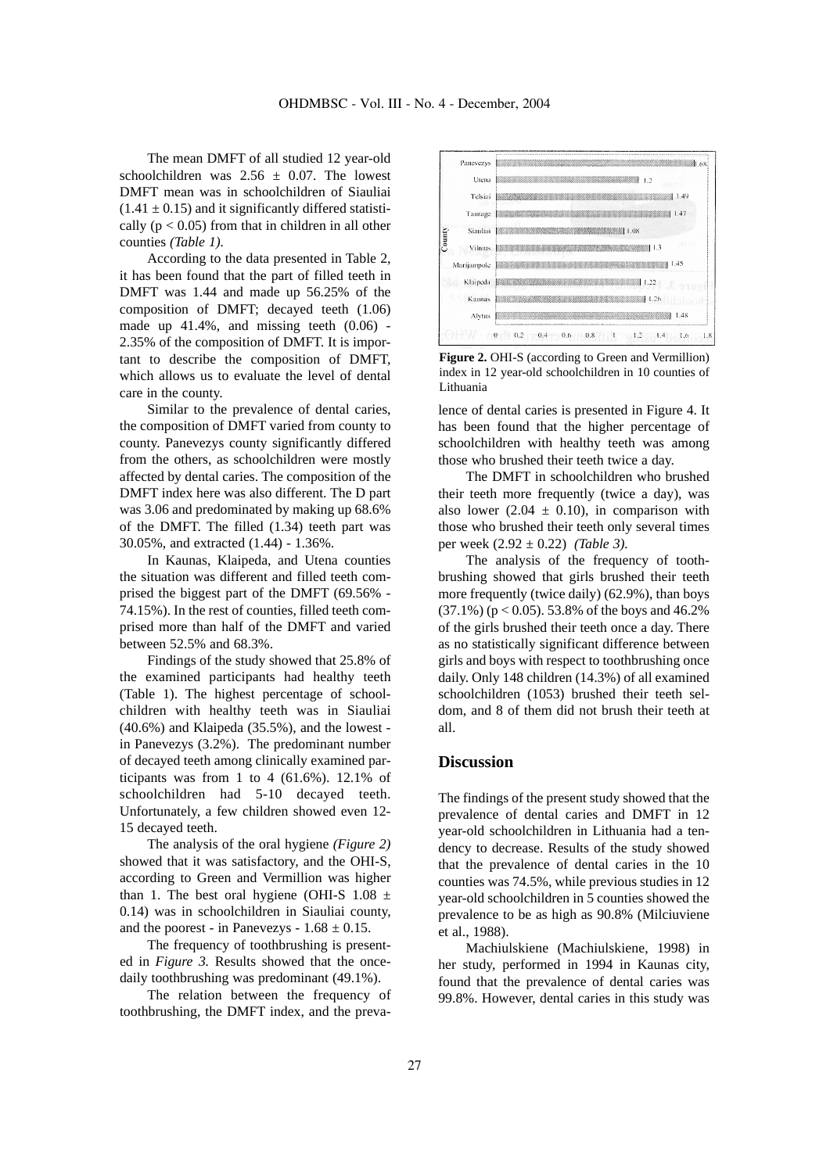The mean DMFT of all studied 12 year-old schoolchildren was  $2.56 \pm 0.07$ . The lowest DMFT mean was in schoolchildren of Siauliai  $(1.41 \pm 0.15)$  and it significantly differed statistically ( $p < 0.05$ ) from that in children in all other counties *(Table 1).*

According to the data presented in Table 2, it has been found that the part of filled teeth in DMFT was 1.44 and made up 56.25% of the composition of DMFT; decayed teeth (1.06) made up  $41.4\%$ , and missing teeth  $(0.06)$ . 2.35% of the composition of DMFT. It is important to describe the composition of DMFT, which allows us to evaluate the level of dental care in the county.

Similar to the prevalence of dental caries, the composition of DMFT varied from county to county. Panevezys county significantly differed from the others, as schoolchildren were mostly affected by dental caries. The composition of the DMFT index here was also different. The D part was 3.06 and predominated by making up 68.6% of the DMFT. The filled (1.34) teeth part was 30.05%, and extracted (1.44) - 1.36%.

In Kaunas, Klaipeda, and Utena counties the situation was different and filled teeth comprised the biggest part of the DMFT (69.56% - 74.15%). In the rest of counties, filled teeth comprised more than half of the DMFT and varied between 52.5% and 68.3%.

Findings of the study showed that 25.8% of the examined participants had healthy teeth (Table 1). The highest percentage of schoolchildren with healthy teeth was in Siauliai (40.6%) and Klaipeda (35.5%), and the lowest in Panevezys (3.2%). The predominant number of decayed teeth among clinically examined participants was from 1 to 4  $(61.6\%)$ . 12.1% of schoolchildren had 5-10 decayed teeth. Unfortunately, a few children showed even 12- 15 decayed teeth.

The analysis of the oral hygiene *(Figure 2)* showed that it was satisfactory, and the OHI-S, according to Green and Vermillion was higher than 1. The best oral hygiene (OHI-S  $1.08 \pm$ 0.14) was in schoolchildren in Siauliai county, and the poorest - in Panevezys -  $1.68 \pm 0.15$ .

The frequency of toothbrushing is presented in *Figure 3.* Results showed that the oncedaily toothbrushing was predominant (49.1%).

The relation between the frequency of toothbrushing, the DMFT index, and the preva-



**Figure 2.** OHI-S (according to Green and Vermillion) index in 12 year-old schoolchildren in 10 counties of Lithuania

lence of dental caries is presented in Figure 4. It has been found that the higher percentage of schoolchildren with healthy teeth was among those who brushed their teeth twice a day.

The DMFT in schoolchildren who brushed their teeth more frequently (twice a day), was also lower (2.04  $\pm$  0.10), in comparison with those who brushed their teeth only several times per week (2.92 ± 0.22) *(Table 3).*

The analysis of the frequency of toothbrushing showed that girls brushed their teeth more frequently (twice daily) (62.9%), than boys  $(37.1\%)$  ( $p < 0.05$ ). 53.8% of the boys and 46.2% of the girls brushed their teeth once a day. There as no statistically significant difference between girls and boys with respect to toothbrushing once daily. Only 148 children (14.3%) of all examined schoolchildren (1053) brushed their teeth seldom, and 8 of them did not brush their teeth at all.

### **Discussion**

The findings of the present study showed that the prevalence of dental caries and DMFT in 12 year-old schoolchildren in Lithuania had a tendency to decrease. Results of the study showed that the prevalence of dental caries in the 10 counties was 74.5%, while previous studies in 12 year-old schoolchildren in 5 counties showed the prevalence to be as high as 90.8% (Milciuviene et al., 1988).

Machiulskiene (Machiulskiene, 1998) in her study, performed in 1994 in Kaunas city, found that the prevalence of dental caries was 99.8%. However, dental caries in this study was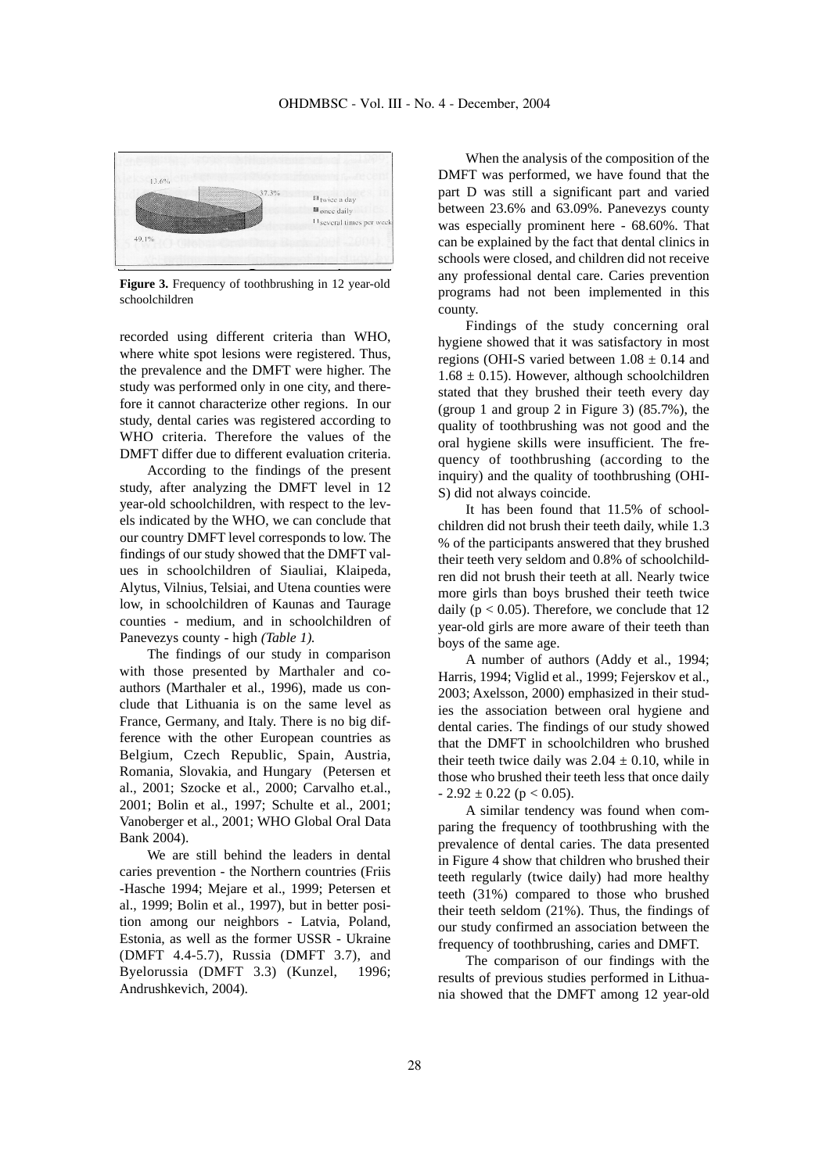

**Figure 3.** Frequency of toothbrushing in 12 year-old schoolchildren

recorded using different criteria than WHO, where white spot lesions were registered. Thus, the prevalence and the DMFT were higher. The study was performed only in one city, and therefore it cannot characterize other regions. In our study, dental caries was registered according to WHO criteria. Therefore the values of the DMFT differ due to different evaluation criteria.

According to the findings of the present study, after analyzing the DMFT level in 12 year-old schoolchildren, with respect to the levels indicated by the WHO, we can conclude that our country DMFT level corresponds to low. The findings of our study showed that the DMFT values in schoolchildren of Siauliai, Klaipeda, Alytus, Vilnius, Telsiai, and Utena counties were low, in schoolchildren of Kaunas and Taurage counties - medium, and in schoolchildren of Panevezys county - high *(Table 1).*

The findings of our study in comparison with those presented by Marthaler and coauthors (Marthaler et al., 1996), made us conclude that Lithuania is on the same level as France, Germany, and Italy. There is no big difference with the other European countries as Belgium, Czech Republic, Spain, Austria, Romania, Slovakia, and Hungary (Petersen et al., 2001; Szocke et al., 2000; Carvalho et.al., 2001; Bolin et al., 1997; Schulte et al., 2001; Vanoberger et al., 2001; WHO Global Oral Data Bank 2004).

We are still behind the leaders in dental caries prevention - the Northern countries (Friis -Hasche 1994; Mejare et al., 1999; Petersen et al., 1999; Bolin et al., 1997), but in better position among our neighbors - Latvia, Poland, Estonia, as well as the former USSR - Ukraine (DMFT 4.4-5.7), Russia (DMFT 3.7), and Byelorussia (DMFT 3.3) (Kunzel, 1996; Andrushkevich, 2004).

When the analysis of the composition of the DMFT was performed, we have found that the part D was still a significant part and varied between 23.6% and 63.09%. Panevezys county was especially prominent here - 68.60%. That can be explained by the fact that dental clinics in schools were closed, and children did not receive any professional dental care. Caries prevention programs had not been implemented in this county.

Findings of the study concerning oral hygiene showed that it was satisfactory in most regions (OHI-S varied between  $1.08 \pm 0.14$  and  $1.68 \pm 0.15$ ). However, although schoolchildren stated that they brushed their teeth every day (group 1 and group 2 in Figure 3) (85.7%), the quality of toothbrushing was not good and the oral hygiene skills were insufficient. The frequency of toothbrushing (according to the inquiry) and the quality of toothbrushing (OHI-S) did not always coincide.

It has been found that 11.5% of schoolchildren did not brush their teeth daily, while 1.3 % of the participants answered that they brushed their teeth very seldom and 0.8% of schoolchildren did not brush their teeth at all. Nearly twice more girls than boys brushed their teeth twice daily ( $p < 0.05$ ). Therefore, we conclude that 12 year-old girls are more aware of their teeth than boys of the same age.

A number of authors (Addy et al., 1994; Harris, 1994; Viglid et al., 1999; Fejerskov et al., 2003; Axelsson, 2000) emphasized in their studies the association between oral hygiene and dental caries. The findings of our study showed that the DMFT in schoolchildren who brushed their teeth twice daily was  $2.04 \pm 0.10$ , while in those who brushed their teeth less that once daily  $-2.92 \pm 0.22$  (p < 0.05).

A similar tendency was found when comparing the frequency of toothbrushing with the prevalence of dental caries. The data presented in Figure 4 show that children who brushed their teeth regularly (twice daily) had more healthy teeth (31%) compared to those who brushed their teeth seldom (21%). Thus, the findings of our study confirmed an association between the frequency of toothbrushing, caries and DMFT.

The comparison of our findings with the results of previous studies performed in Lithuania showed that the DMFT among 12 year-old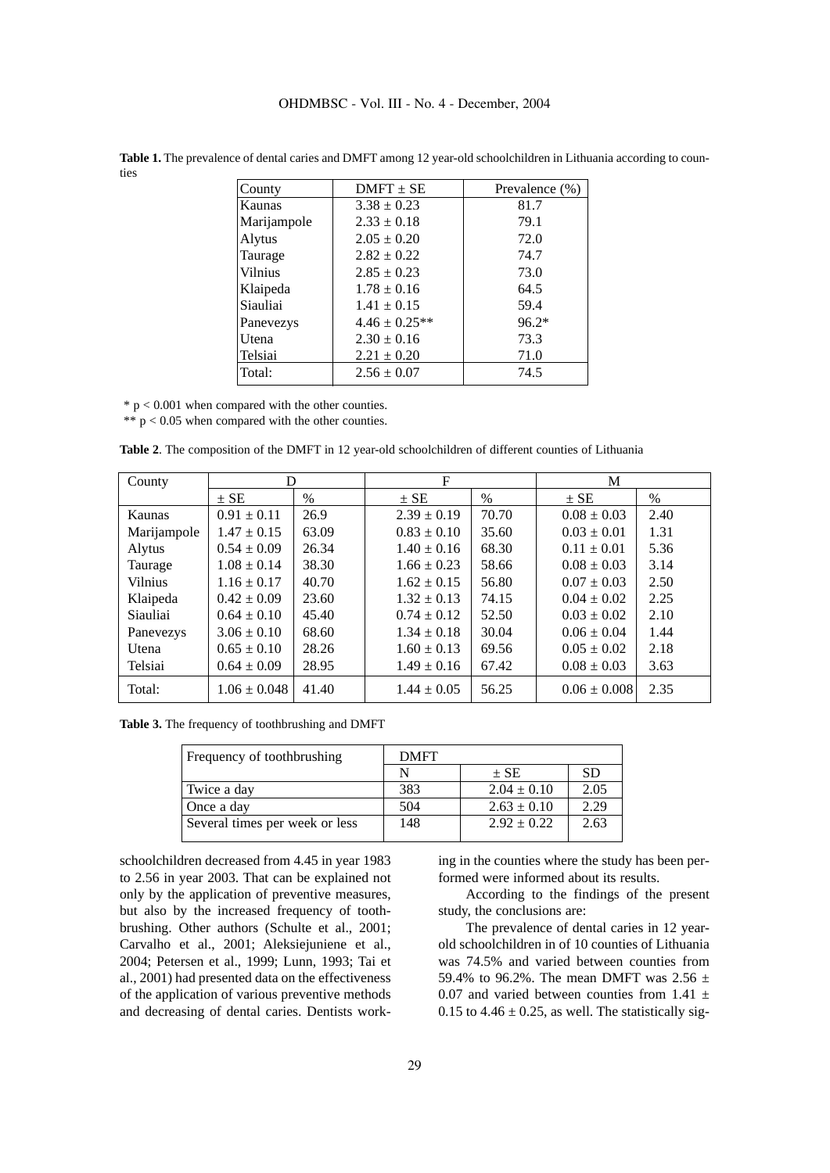| County      | $DMFT \pm SE$     | Prevalence $(\%)$ |
|-------------|-------------------|-------------------|
| Kaunas      | $3.38 \pm 0.23$   | 81.7              |
| Marijampole | $2.33 \pm 0.18$   | 79.1              |
| Alytus      | $2.05 \pm 0.20$   | 72.0              |
| Taurage     | $2.82 \pm 0.22$   | 74.7              |
| Vilnius     | $2.85 \pm 0.23$   | 73.0              |
| Klaipeda    | $1.78 \pm 0.16$   | 64.5              |
| Siauliai    | $1.41 \pm 0.15$   | 59.4              |
| Panevezys   | $4.46 \pm 0.25**$ | $96.2*$           |
| Utena       | $2.30 \pm 0.16$   | 73.3              |
| Telsiai     | $2.21 \pm 0.20$   | 71.0              |
| Total:      | $2.56 \pm 0.07$   | 74.5              |
|             |                   |                   |

**Table 1.** The prevalence of dental caries and DMFT among 12 year-old schoolchildren in Lithuania according to counties

 $*$  p < 0.001 when compared with the other counties.

 $** p < 0.05$  when compared with the other counties.

**Table 2**. The composition of the DMFT in 12 year-old schoolchildren of different counties of Lithuania

| County         | D                |       | $\mathbf F$     |               | M                |      |
|----------------|------------------|-------|-----------------|---------------|------------------|------|
|                | $\pm$ SE         | $\%$  | $\pm$ SE        | $\frac{0}{0}$ | $\pm$ SE         | $\%$ |
| Kaunas         | $0.91 \pm 0.11$  | 26.9  | $2.39 \pm 0.19$ | 70.70         | $0.08 \pm 0.03$  | 2.40 |
| Marijampole    | $1.47 \pm 0.15$  | 63.09 | $0.83 \pm 0.10$ | 35.60         | $0.03 \pm 0.01$  | 1.31 |
| Alytus         | $0.54 \pm 0.09$  | 26.34 | $1.40 \pm 0.16$ | 68.30         | $0.11 \pm 0.01$  | 5.36 |
| Taurage        | $1.08 \pm 0.14$  | 38.30 | $1.66 \pm 0.23$ | 58.66         | $0.08 \pm 0.03$  | 3.14 |
| <b>Vilnius</b> | $1.16 \pm 0.17$  | 40.70 | $1.62 \pm 0.15$ | 56.80         | $0.07 \pm 0.03$  | 2.50 |
| Klaipeda       | $0.42 \pm 0.09$  | 23.60 | $1.32 \pm 0.13$ | 74.15         | $0.04 \pm 0.02$  | 2.25 |
| Siauliai       | $0.64 \pm 0.10$  | 45.40 | $0.74 \pm 0.12$ | 52.50         | $0.03 \pm 0.02$  | 2.10 |
| Panevezys      | $3.06 \pm 0.10$  | 68.60 | $1.34 \pm 0.18$ | 30.04         | $0.06 \pm 0.04$  | 1.44 |
| Utena          | $0.65 \pm 0.10$  | 28.26 | $1.60 \pm 0.13$ | 69.56         | $0.05 \pm 0.02$  | 2.18 |
| Telsiai        | $0.64 \pm 0.09$  | 28.95 | $1.49 \pm 0.16$ | 67.42         | $0.08 \pm 0.03$  | 3.63 |
| Total:         | $1.06 \pm 0.048$ | 41.40 | $1.44 \pm 0.05$ | 56.25         | $0.06 \pm 0.008$ | 2.35 |

**Table 3.** The frequency of toothbrushing and DMFT

| Frequency of toothbrushing     | <b>DMFT</b> |                 |           |  |  |
|--------------------------------|-------------|-----------------|-----------|--|--|
|                                |             | $\pm$ SE        | <b>SD</b> |  |  |
| Twice a day                    | 383         | $2.04 \pm 0.10$ | 2.05      |  |  |
| Once a day                     | 504         | $2.63 \pm 0.10$ | 2.29      |  |  |
| Several times per week or less | 148         | $2.92 \pm 0.22$ | 2.63      |  |  |

schoolchildren decreased from 4.45 in year 1983 to 2.56 in year 2003. That can be explained not only by the application of preventive measures, but also by the increased frequency of toothbrushing. Other authors (Schulte et al., 2001; Carvalho et al., 2001; Aleksiejuniene et al., 2004; Petersen et al., 1999; Lunn, 1993; Tai et al., 2001) had presented data on the effectiveness of the application of various preventive methods and decreasing of dental caries. Dentists working in the counties where the study has been performed were informed about its results.

According to the findings of the present study, the conclusions are:

The prevalence of dental caries in 12 yearold schoolchildren in of 10 counties of Lithuania was 74.5% and varied between counties from 59.4% to 96.2%. The mean DMFT was 2.56  $\pm$ 0.07 and varied between counties from 1.41  $\pm$ 0.15 to  $4.46 \pm 0.25$ , as well. The statistically sig-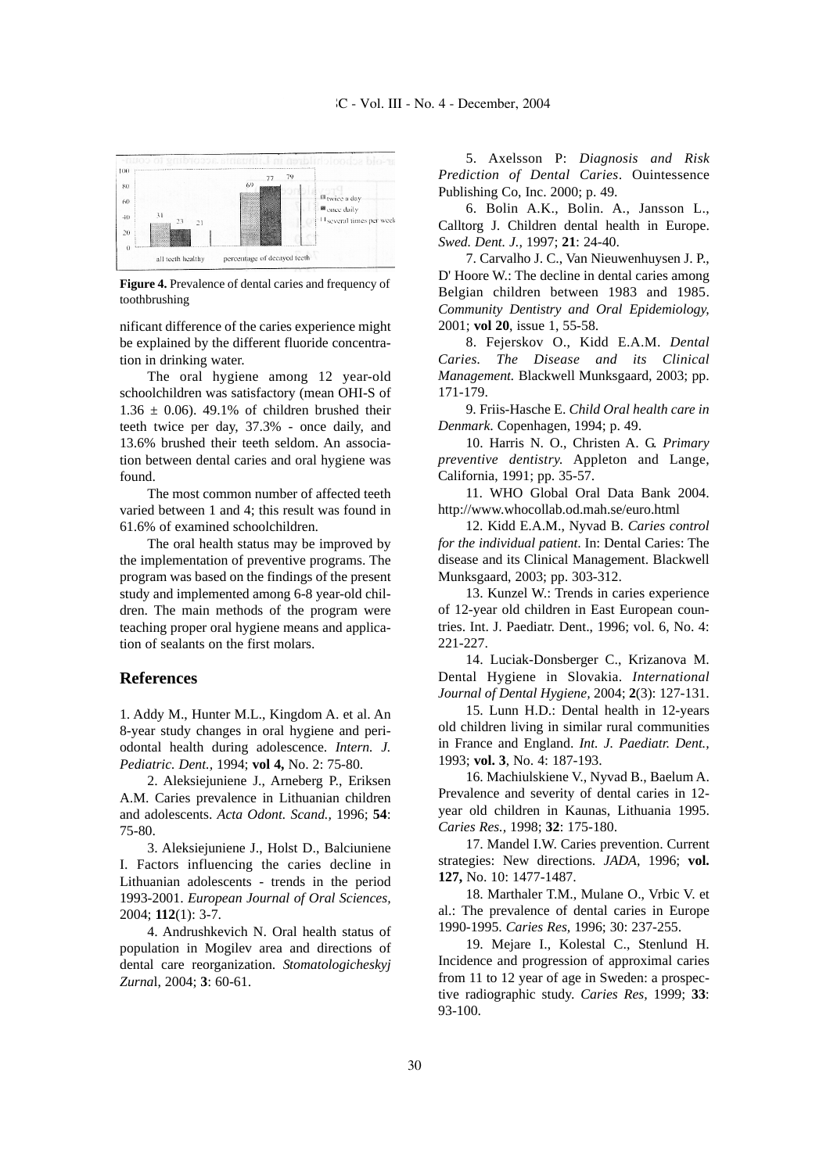

**Figure 4.** Prevalence of dental caries and frequency of toothbrushing

nificant difference of the caries experience might be explained by the different fluoride concentration in drinking water.

The oral hygiene among 12 year-old schoolchildren was satisfactory (mean OHI-S of  $1.36 \pm 0.06$ ). 49.1% of children brushed their teeth twice per day, 37.3% - once daily, and 13.6% brushed their teeth seldom. An association between dental caries and oral hygiene was found.

The most common number of affected teeth varied between 1 and 4; this result was found in 61.6% of examined schoolchildren.

The oral health status may be improved by the implementation of preventive programs. The program was based on the findings of the present study and implemented among 6-8 year-old children. The main methods of the program were teaching proper oral hygiene means and application of sealants on the first molars.

### **References**

1. Addy M., Hunter M.L., Kingdom A. et al. An 8-year study changes in oral hygiene and periodontal health during adolescence. *Intern. J. Pediatric. Dent.,* 1994; **vol 4,** No. 2: 75-80.

2. Aleksiejuniene J., Arneberg P., Eriksen A.M. Caries prevalence in Lithuanian children and adolescents. *Acta Odont. Scand.,* 1996; **54**: 75-80.

3. Aleksiejuniene J., Holst D., Balciuniene I. Factors influencing the caries decline in Lithuanian adolescents - trends in the period 1993-2001. *European Journal of Oral Sciences,* 2004; **112**(1): 3-7.

4. Andrushkevich N. Oral health status of population in Mogilev area and directions of dental care reorganization. *Stomatologicheskyj Zurna*l, 2004; **3**: 60-61.

5. Axelsson P: *Diagnosis and Risk Prediction of Dental Caries*. Ouintessence Publishing Co, Inc. 2000; p. 49.

6. Bolin A.K., Bolin. A., Jansson L., Calltorg J. Children dental health in Europe. *Swed. Dent. J.,* 1997; **21**: 24-40.

7. Carvalho J. C., Van Nieuwenhuysen J. P., D' Hoore W.: The decline in dental caries among Belgian children between 1983 and 1985. *Community Dentistry and Oral Epidemiology,* 2001; **vol 20**, issue 1, 55-58.

8. Fejerskov O., Kidd E.A.M. *Dental Caries. The Disease and its Clinical Management.* Blackwell Munksgaard, 2003; pp. 171-179.

9. Friis-Hasche E. *Child Oral health care in Denmark*. Copenhagen, 1994; p. 49.

10. Harris N. O., Christen A. G. *Primary preventive dentistry.* Appleton and Lange, California, 1991; pp. 35-57.

11. WHO Global Oral Data Bank 2004. http://www.whocollab.od.mah.se/euro.html

12. Kidd E.A.M., Nyvad B. *Caries control for the individual patient*. In: Dental Caries: The disease and its Clinical Management. Blackwell Munksgaard, 2003; pp. 303-312.

13. Kunzel W.: Trends in caries experience of 12-year old children in East European countries. Int. J. Paediatr. Dent., 1996; vol. 6, No. 4: 221-227.

14. Luciak-Donsberger C., Krizanova M. Dental Hygiene in Slovakia. *International Journal of Dental Hygiene,* 2004; **2**(3): 127-131.

15. Lunn H.D.: Dental health in 12-years old children living in similar rural communities in France and England. *Int. J. Paediatr. Dent.,* 1993; **vol. 3**, No. 4: 187-193.

16. Machiulskiene V., Nyvad B., Baelum A. Prevalence and severity of dental caries in 12 year old children in Kaunas, Lithuania 1995. *Caries Res.,* 1998; **32**: 175-180.

17. Mandel I.W. Caries prevention. Current strategies: New directions. *JADA*, 1996; **vol. 127,** No. 10: 1477-1487.

18. Marthaler T.M., Mulane O., Vrbic V. et al.: The prevalence of dental caries in Europe 1990-1995. *Caries Res,* 1996; 30: 237-255.

19. Mejare I., Kolestal C., Stenlund H. Incidence and progression of approximal caries from 11 to 12 year of age in Sweden: a prospective radiographic study. *Caries Res,* 1999; **33**: 93-100.